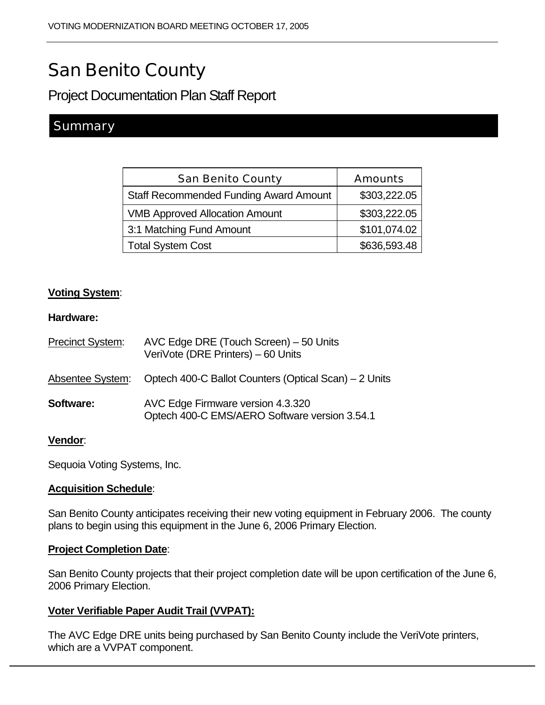# San Benito County

Project Documentation Plan Staff Report

# **Summary**

| <b>San Benito County</b>                      | <b>Amounts</b> |
|-----------------------------------------------|----------------|
| <b>Staff Recommended Funding Award Amount</b> | \$303,222.05   |
| <b>VMB Approved Allocation Amount</b>         | \$303,222.05   |
| 3:1 Matching Fund Amount                      | \$101,074.02   |
| <b>Total System Cost</b>                      | \$636,593.48   |

## **Voting System**:

#### **Hardware:**

| <b>Precinct System:</b> | AVC Edge DRE (Touch Screen) – 50 Units<br>VeriVote (DRE Printers) - 60 Units       |
|-------------------------|------------------------------------------------------------------------------------|
| Absentee System:        | Optech 400-C Ballot Counters (Optical Scan) – 2 Units                              |
| <b>Software:</b>        | AVC Edge Firmware version 4.3.320<br>Optech 400-C EMS/AERO Software version 3.54.1 |

#### **Vendor**:

Sequoia Voting Systems, Inc.

#### **Acquisition Schedule**:

San Benito County anticipates receiving their new voting equipment in February 2006. The county plans to begin using this equipment in the June 6, 2006 Primary Election.

#### **Project Completion Date**:

San Benito County projects that their project completion date will be upon certification of the June 6, 2006 Primary Election.

#### **Voter Verifiable Paper Audit Trail (VVPAT):**

The AVC Edge DRE units being purchased by San Benito County include the VeriVote printers, which are a VVPAT component.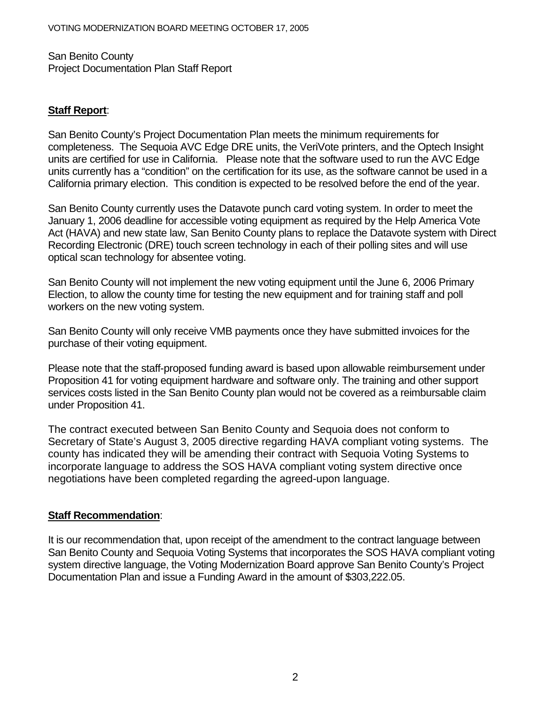San Benito County Project Documentation Plan Staff Report

#### **Staff Report**:

San Benito County's Project Documentation Plan meets the minimum requirements for completeness. The Sequoia AVC Edge DRE units, the VeriVote printers, and the Optech Insight units are certified for use in California. Please note that the software used to run the AVC Edge units currently has a "condition" on the certification for its use, as the software cannot be used in a California primary election. This condition is expected to be resolved before the end of the year.

San Benito County currently uses the Datavote punch card voting system. In order to meet the January 1, 2006 deadline for accessible voting equipment as required by the Help America Vote Act (HAVA) and new state law, San Benito County plans to replace the Datavote system with Direct Recording Electronic (DRE) touch screen technology in each of their polling sites and will use optical scan technology for absentee voting.

San Benito County will not implement the new voting equipment until the June 6, 2006 Primary Election, to allow the county time for testing the new equipment and for training staff and poll workers on the new voting system.

San Benito County will only receive VMB payments once they have submitted invoices for the purchase of their voting equipment.

Please note that the staff-proposed funding award is based upon allowable reimbursement under Proposition 41 for voting equipment hardware and software only. The training and other support services costs listed in the San Benito County plan would not be covered as a reimbursable claim under Proposition 41.

The contract executed between San Benito County and Sequoia does not conform to Secretary of State's August 3, 2005 directive regarding HAVA compliant voting systems. The county has indicated they will be amending their contract with Sequoia Voting Systems to incorporate language to address the SOS HAVA compliant voting system directive once negotiations have been completed regarding the agreed-upon language.

## **Staff Recommendation**:

It is our recommendation that, upon receipt of the amendment to the contract language between San Benito County and Sequoia Voting Systems that incorporates the SOS HAVA compliant voting system directive language, the Voting Modernization Board approve San Benito County's Project Documentation Plan and issue a Funding Award in the amount of \$303,222.05.